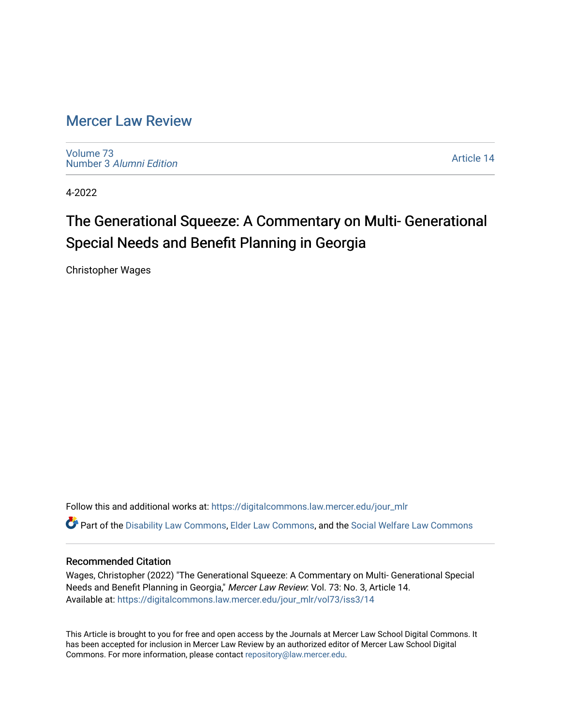## [Mercer Law Review](https://digitalcommons.law.mercer.edu/jour_mlr)

[Volume 73](https://digitalcommons.law.mercer.edu/jour_mlr/vol73) Number 3 [Alumni Edition](https://digitalcommons.law.mercer.edu/jour_mlr/vol73/iss3) 

[Article 14](https://digitalcommons.law.mercer.edu/jour_mlr/vol73/iss3/14) 

4-2022

# The Generational Squeeze: A Commentary on Multi- Generational Special Needs and Benefit Planning in Georgia

Christopher Wages

Follow this and additional works at: [https://digitalcommons.law.mercer.edu/jour\\_mlr](https://digitalcommons.law.mercer.edu/jour_mlr?utm_source=digitalcommons.law.mercer.edu%2Fjour_mlr%2Fvol73%2Fiss3%2F14&utm_medium=PDF&utm_campaign=PDFCoverPages)

Part of the [Disability Law Commons](http://network.bepress.com/hgg/discipline/1074?utm_source=digitalcommons.law.mercer.edu%2Fjour_mlr%2Fvol73%2Fiss3%2F14&utm_medium=PDF&utm_campaign=PDFCoverPages), [Elder Law Commons](http://network.bepress.com/hgg/discipline/842?utm_source=digitalcommons.law.mercer.edu%2Fjour_mlr%2Fvol73%2Fiss3%2F14&utm_medium=PDF&utm_campaign=PDFCoverPages), and the [Social Welfare Law Commons](http://network.bepress.com/hgg/discipline/878?utm_source=digitalcommons.law.mercer.edu%2Fjour_mlr%2Fvol73%2Fiss3%2F14&utm_medium=PDF&utm_campaign=PDFCoverPages)

### Recommended Citation

Wages, Christopher (2022) "The Generational Squeeze: A Commentary on Multi- Generational Special Needs and Benefit Planning in Georgia," Mercer Law Review: Vol. 73: No. 3, Article 14. Available at: [https://digitalcommons.law.mercer.edu/jour\\_mlr/vol73/iss3/14](https://digitalcommons.law.mercer.edu/jour_mlr/vol73/iss3/14?utm_source=digitalcommons.law.mercer.edu%2Fjour_mlr%2Fvol73%2Fiss3%2F14&utm_medium=PDF&utm_campaign=PDFCoverPages) 

This Article is brought to you for free and open access by the Journals at Mercer Law School Digital Commons. It has been accepted for inclusion in Mercer Law Review by an authorized editor of Mercer Law School Digital Commons. For more information, please contact [repository@law.mercer.edu.](mailto:repository@law.mercer.edu)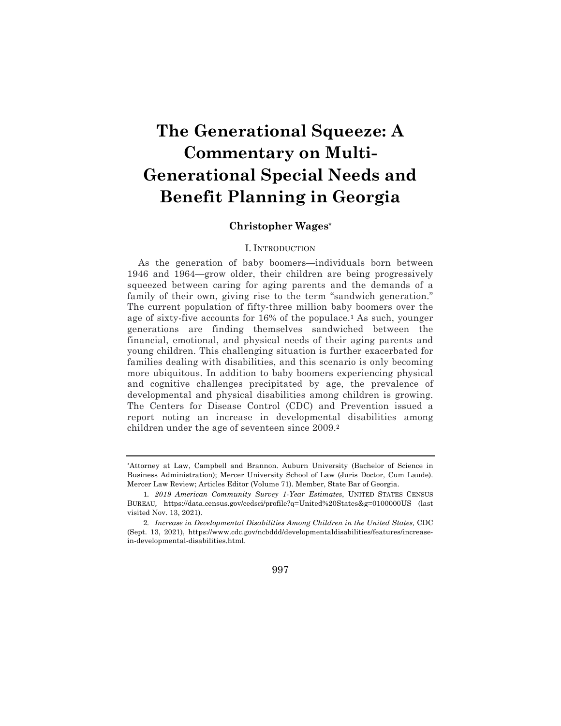# **The Generational Squeeze: A Commentary on Multi-Generational Special Needs and Benefit Planning in Georgia**

### **Christopher Wages\***

#### I. INTRODUCTION

As the generation of baby boomers—individuals born between 1946 and 1964—grow older, their children are being progressively squeezed between caring for aging parents and the demands of a family of their own, giving rise to the term "sandwich generation." The current population of fifty-three million baby boomers over the age of sixty-five accounts for 16% of the populace.1 As such, younger generations are finding themselves sandwiched between the financial, emotional, and physical needs of their aging parents and young children. This challenging situation is further exacerbated for families dealing with disabilities, and this scenario is only becoming more ubiquitous. In addition to baby boomers experiencing physical and cognitive challenges precipitated by age, the prevalence of developmental and physical disabilities among children is growing. The Centers for Disease Control (CDC) and Prevention issued a report noting an increase in developmental disabilities among children under the age of seventeen since 2009.2

997

<sup>\*</sup>Attorney at Law, Campbell and Brannon. Auburn University (Bachelor of Science in Business Administration); Mercer University School of Law (Juris Doctor, Cum Laude). Mercer Law Review; Articles Editor (Volume 71). Member, State Bar of Georgia.

<sup>1</sup>*. 2019 American Community Survey 1-Year Estimates*, UNITED STATES CENSUS BUREAU*,* https://data.census.gov/cedsci/profile?q=United%20States&g=0100000US (last visited Nov. 13, 2021).

<sup>2</sup>*. Increase in Developmental Disabilities Among Children in the United States,* CDC (Sept. 13, 2021), https://www.cdc.gov/ncbddd/developmentaldisabilities/features/increasein-developmental-disabilities.html.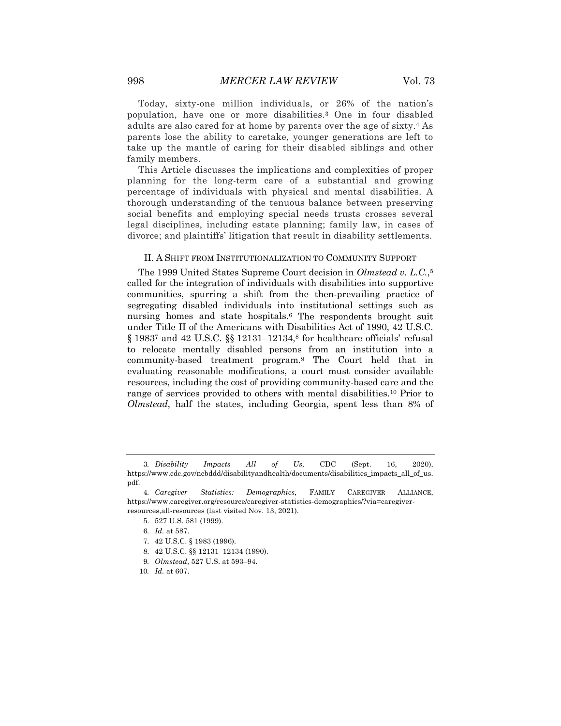Today, sixty-one million individuals, or 26% of the nation's population, have one or more disabilities.3 One in four disabled adults are also cared for at home by parents over the age of sixty.4 As parents lose the ability to caretake, younger generations are left to take up the mantle of caring for their disabled siblings and other family members.

This Article discusses the implications and complexities of proper planning for the long-term care of a substantial and growing percentage of individuals with physical and mental disabilities. A thorough understanding of the tenuous balance between preserving social benefits and employing special needs trusts crosses several legal disciplines, including estate planning; family law, in cases of divorce; and plaintiffs' litigation that result in disability settlements.

#### II. A SHIFT FROM INSTITUTIONALIZATION TO COMMUNITY SUPPORT

The 1999 United States Supreme Court decision in *Olmstead v. L.C.*,5 called for the integration of individuals with disabilities into supportive communities, spurring a shift from the then-prevailing practice of segregating disabled individuals into institutional settings such as nursing homes and state hospitals.6 The respondents brought suit under Title II of the Americans with Disabilities Act of 1990, 42 U.S.C.  $\S 19837$  and 42 U.S.C.  $\S \ \ 12131-12134$ ,<sup>8</sup> for healthcare officials' refusal to relocate mentally disabled persons from an institution into a community-based treatment program.9 The Court held that in evaluating reasonable modifications, a court must consider available resources, including the cost of providing community-based care and the range of services provided to others with mental disabilities.10 Prior to *Olmstead*, half the states, including Georgia, spent less than 8% of

<sup>3</sup>*. Disability Impacts All of Us*, CDC (Sept. 16, 2020), https://www.cdc.gov/ncbddd/disabilityandhealth/documents/disabilities\_impacts\_all\_of\_us. pdf.

<sup>4</sup>*. Caregiver Statistics: Demographics*, FAMILY CAREGIVER ALLIANCE, https://www.caregiver.org/resource/caregiver-statistics-demographics/?via=caregiverresources,all-resources (last visited Nov. 13, 2021).

<sup>5.</sup> 527 U.S. 581 (1999).

<sup>6</sup>*. Id.* at 587.

<sup>7.</sup> 42 U.S.C. § 1983 (1996).

<sup>8.</sup> 42 U.S.C. §§ 12131–12134 (1990).

<sup>9</sup>*. Olmstead*, 527 U.S. at 593–94.

<sup>10</sup>*. Id.* at 607.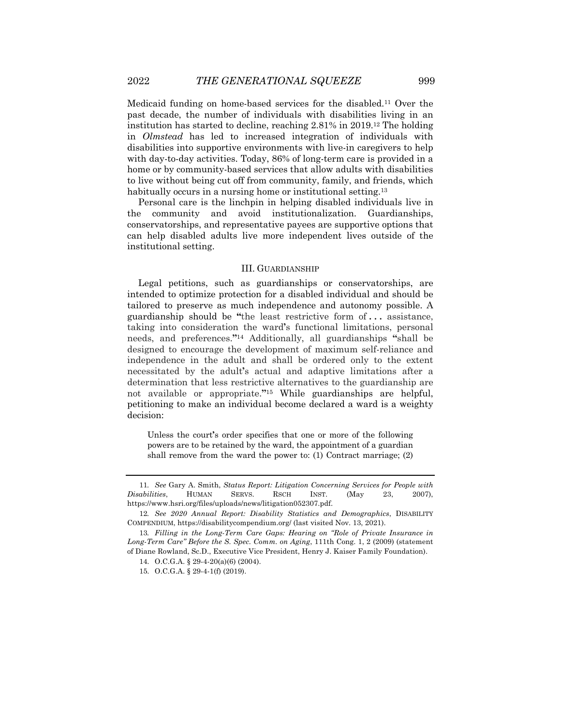Medicaid funding on home-based services for the disabled.11 Over the past decade, the number of individuals with disabilities living in an institution has started to decline, reaching 2.81% in 2019.12 The holding in *Olmstead* has led to increased integration of individuals with disabilities into supportive environments with live-in caregivers to help with day-to-day activities. Today, 86% of long-term care is provided in a home or by community-based services that allow adults with disabilities to live without being cut off from community, family, and friends, which habitually occurs in a nursing home or institutional setting.<sup>13</sup>

Personal care is the linchpin in helping disabled individuals live in the community and avoid institutionalization. Guardianships, conservatorships, and representative payees are supportive options that can help disabled adults live more independent lives outside of the institutional setting.

#### III. GUARDIANSHIP

Legal petitions, such as guardianships or conservatorships, are intended to optimize protection for a disabled individual and should be tailored to preserve as much independence and autonomy possible. A guardianship should be **"**the least restrictive form of **. . .** assistance, taking into consideration the ward**'**s functional limitations, personal needs, and preferences.**"**<sup>14</sup> Additionally, all guardianships **"**shall be designed to encourage the development of maximum self-reliance and independence in the adult and shall be ordered only to the extent necessitated by the adult**'**s actual and adaptive limitations after a determination that less restrictive alternatives to the guardianship are not available or appropriate.**"**<sup>15</sup> While guardianships are helpful, petitioning to make an individual become declared a ward is a weighty decision:

Unless the court**'**s order specifies that one or more of the following powers are to be retained by the ward, the appointment of a guardian shall remove from the ward the power to: (1) Contract marriage; (2)

<sup>11</sup>*. See* Gary A. Smith, *Status Report: Litigation Concerning Services for People with Disabilities*, HUMAN SERVS. RSCH INST. (May 23, 2007), https://www.hsri.org/files/uploads/news/litigation052307.pdf.

<sup>12</sup>*. See 2020 Annual Report: Disability Statistics and Demographics*, DISABILITY COMPENDIUM, https://disabilitycompendium.org/ (last visited Nov. 13, 2021).

<sup>13</sup>*. Filling in the Long-Term Care Gaps: Hearing on "Role of Private Insurance in Long-Term Care" Before the S. Spec. Comm. on Aging*, 111th Cong. 1, 2 (2009) (statement of Diane Rowland, Sc.D., Executive Vice President, Henry J. Kaiser Family Foundation).

<sup>14.</sup> O.C.G.A. § 29-4-20(a)(6) (2004).

<sup>15.</sup> O.C.G.A. § 29-4-1(f) (2019).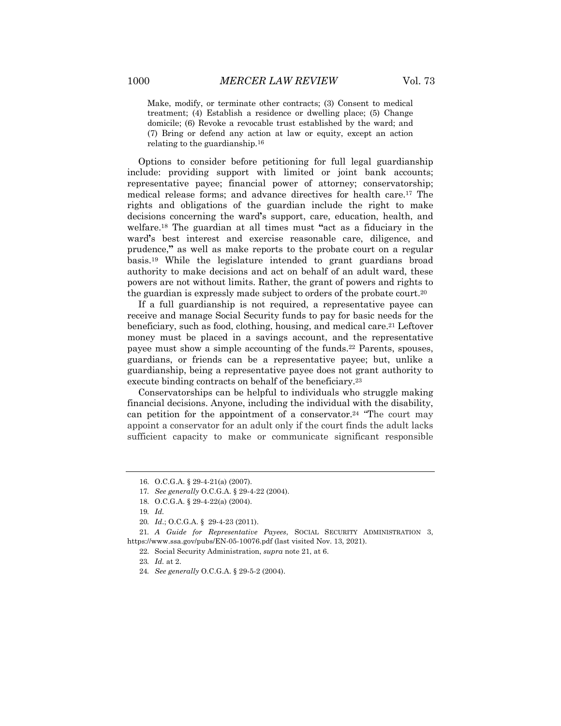Make, modify, or terminate other contracts; (3) Consent to medical treatment; (4) Establish a residence or dwelling place; (5) Change domicile; (6) Revoke a revocable trust established by the ward; and (7) Bring or defend any action at law or equity, except an action relating to the guardianship.16

Options to consider before petitioning for full legal guardianship include: providing support with limited or joint bank accounts; representative payee; financial power of attorney; conservatorship; medical release forms; and advance directives for health care.17 The rights and obligations of the guardian include the right to make decisions concerning the ward**'**s support, care, education, health, and welfare.18 The guardian at all times must **"**act as a fiduciary in the ward**'**s best interest and exercise reasonable care, diligence, and prudence,**"** as well as make reports to the probate court on a regular basis.19 While the legislature intended to grant guardians broad authority to make decisions and act on behalf of an adult ward, these powers are not without limits. Rather, the grant of powers and rights to the guardian is expressly made subject to orders of the probate court.20

If a full guardianship is not required, a representative payee can receive and manage Social Security funds to pay for basic needs for the beneficiary, such as food, clothing, housing, and medical care.21 Leftover money must be placed in a savings account, and the representative payee must show a simple accounting of the funds.22 Parents, spouses, guardians, or friends can be a representative payee; but, unlike a guardianship, being a representative payee does not grant authority to execute binding contracts on behalf of the beneficiary.23

Conservatorships can be helpful to individuals who struggle making financial decisions. Anyone, including the individual with the disability, can petition for the appointment of a conservator.<sup>24</sup> "The court may appoint a conservator for an adult only if the court finds the adult lacks sufficient capacity to make or communicate significant responsible

21*. A Guide for Representative Payees*, SOCIAL SECURITY ADMINISTRATION 3, https://www.ssa.gov/pubs/EN-05-10076.pdf (last visited Nov. 13, 2021).

<sup>16.</sup> O.C.G.A. § 29-4-21(a) (2007).

<sup>17</sup>*. See generally* O.C.G.A. § 29-4-22 (2004).

<sup>18.</sup> O.C.G.A. § 29-4-22(a) (2004).

<sup>19</sup>*. Id.*

<sup>20</sup>*. Id*.; O.C.G.A. § 29-4-23 (2011).

<sup>22.</sup> Social Security Administration, *supra* note 21, at 6.

<sup>23</sup>*. Id.* at 2.

<sup>24</sup>*. See generally* O.C.G.A. § 29-5-2 (2004).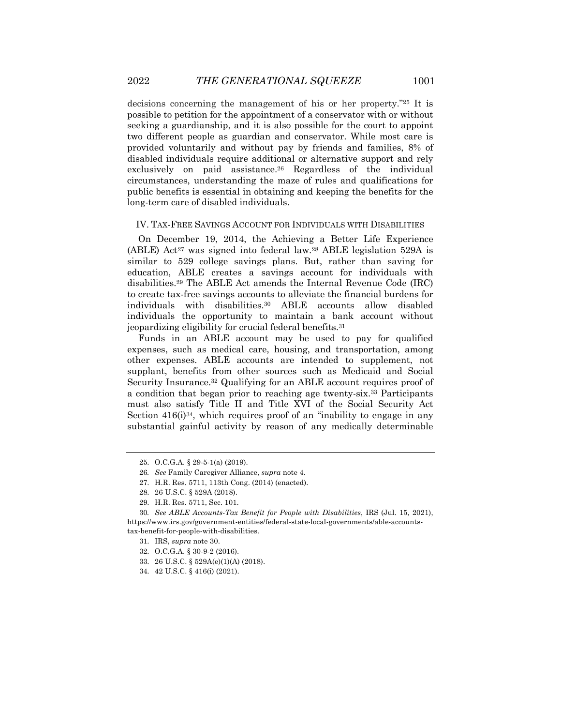decisions concerning the management of his or her property."25 It is possible to petition for the appointment of a conservator with or without seeking a guardianship, and it is also possible for the court to appoint two different people as guardian and conservator. While most care is provided voluntarily and without pay by friends and families, 8% of disabled individuals require additional or alternative support and rely exclusively on paid assistance.<sup>26</sup> Regardless of the individual circumstances, understanding the maze of rules and qualifications for public benefits is essential in obtaining and keeping the benefits for the long-term care of disabled individuals.

#### IV. TAX-FREE SAVINGS ACCOUNT FOR INDIVIDUALS WITH DISABILITIES

On December 19, 2014, the Achieving a Better Life Experience (ABLE) Act<sup>27</sup> was signed into federal law.<sup>28</sup> ABLE legislation 529A is similar to 529 college savings plans. But, rather than saving for education, ABLE creates a savings account for individuals with disabilities.29 The ABLE Act amends the Internal Revenue Code (IRC) to create tax-free savings accounts to alleviate the financial burdens for individuals with disabilities.30 ABLE accounts allow disabled individuals the opportunity to maintain a bank account without jeopardizing eligibility for crucial federal benefits.31

Funds in an ABLE account may be used to pay for qualified expenses, such as medical care, housing, and transportation, among other expenses. ABLE accounts are intended to supplement, not supplant, benefits from other sources such as Medicaid and Social Security Insurance.32 Qualifying for an ABLE account requires proof of a condition that began prior to reaching age twenty-six.33 Participants must also satisfy Title II and Title XVI of the Social Security Act Section  $416(i)^{34}$ , which requires proof of an "inability to engage in any substantial gainful activity by reason of any medically determinable

<sup>25.</sup> O.C.G.A. § 29-5-1(a) (2019).

<sup>26</sup>*. See* Family Caregiver Alliance, *supra* note 4.

<sup>27.</sup> H.R. Res. 5711, 113th Cong. (2014) (enacted).

<sup>28.</sup> 26 U.S.C. § 529A (2018).

<sup>29.</sup> H.R. Res. 5711, Sec. 101.

<sup>30</sup>*. See ABLE Accounts-Tax Benefit for People with Disabilities*, IRS (Jul. 15, 2021), https://www.irs.gov/government-entities/federal-state-local-governments/able-accountstax-benefit-for-people-with-disabilities.

<sup>31.</sup> IRS, *supra* note 30.

<sup>32.</sup> O.C.G.A. § 30-9-2 (2016).

<sup>33.</sup> 26 U.S.C. § 529A(e)(1)(A) (2018).

<sup>34.</sup> 42 U.S.C. § 416(i) (2021).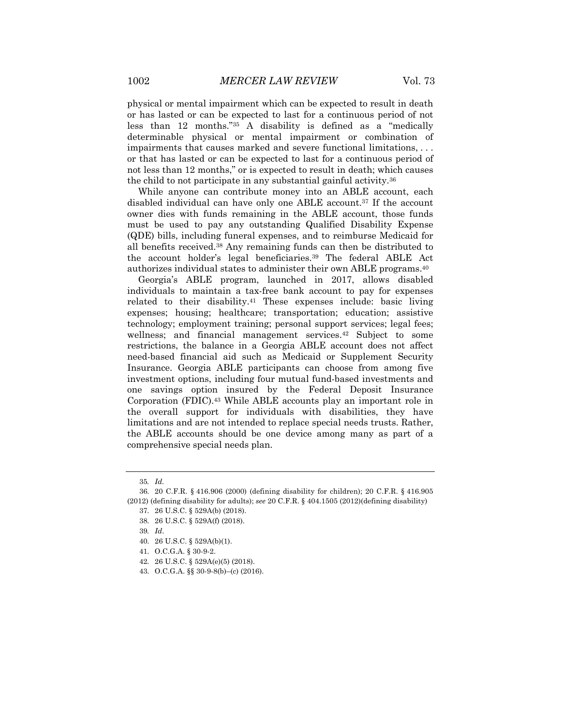physical or mental impairment which can be expected to result in death or has lasted or can be expected to last for a continuous period of not less than 12 months."35 A disability is defined as a "medically determinable physical or mental impairment or combination of impairments that causes marked and severe functional limitations, . . . or that has lasted or can be expected to last for a continuous period of not less than 12 months," or is expected to result in death; which causes the child to not participate in any substantial gainful activity.36

While anyone can contribute money into an ABLE account, each disabled individual can have only one ABLE account.37 If the account owner dies with funds remaining in the ABLE account, those funds must be used to pay any outstanding Qualified Disability Expense (QDE) bills, including funeral expenses, and to reimburse Medicaid for all benefits received.38 Any remaining funds can then be distributed to the account holder's legal beneficiaries.39 The federal ABLE Act authorizes individual states to administer their own ABLE programs.40

Georgia's ABLE program, launched in 2017, allows disabled individuals to maintain a tax-free bank account to pay for expenses related to their disability.41 These expenses include: basic living expenses; housing; healthcare; transportation; education; assistive technology; employment training; personal support services; legal fees; wellness; and financial management services.<sup>42</sup> Subject to some restrictions, the balance in a Georgia ABLE account does not affect need-based financial aid such as Medicaid or Supplement Security Insurance. Georgia ABLE participants can choose from among five investment options, including four mutual fund-based investments and one savings option insured by the Federal Deposit Insurance Corporation (FDIC).43 While ABLE accounts play an important role in the overall support for individuals with disabilities, they have limitations and are not intended to replace special needs trusts. Rather, the ABLE accounts should be one device among many as part of a comprehensive special needs plan.

<sup>35</sup>*. Id.*

<sup>36.</sup> 20 C.F.R. § 416.906 (2000) (defining disability for children); 20 C.F.R. § 416.905 (2012) (defining disability for adults); *see* 20 C.F.R. § 404.1505 (2012)(defining disability)

<sup>37.</sup> 26 U.S.C. § 529A(b) (2018).

<sup>38.</sup> 26 U.S.C. § 529A(f) (2018).

<sup>39</sup>*. Id*.

<sup>40.</sup> 26 U.S.C. § 529A(b)(1).

<sup>41.</sup> O.C.G.A. § 30-9-2.

<sup>42.</sup> 26 U.S.C. § 529A(e)(5) (2018).

<sup>43.</sup> O.C.G.A. §§ 30-9-8(b)–(c) (2016).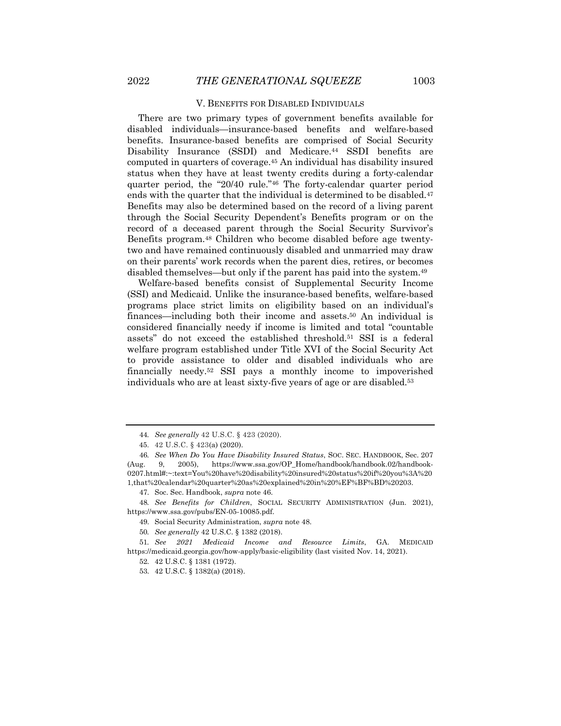#### V. BENEFITS FOR DISABLED INDIVIDUALS

There are two primary types of government benefits available for disabled individuals—insurance-based benefits and welfare-based benefits. Insurance-based benefits are comprised of Social Security Disability Insurance (SSDI) and Medicare.44 SSDI benefits are computed in quarters of coverage.45 An individual has disability insured status when they have at least twenty credits during a forty-calendar quarter period, the "20/40 rule."46 The forty-calendar quarter period ends with the quarter that the individual is determined to be disabled.47 Benefits may also be determined based on the record of a living parent through the Social Security Dependent's Benefits program or on the record of a deceased parent through the Social Security Survivor's Benefits program.48 Children who become disabled before age twentytwo and have remained continuously disabled and unmarried may draw on their parents' work records when the parent dies, retires, or becomes disabled themselves—but only if the parent has paid into the system.49

Welfare-based benefits consist of Supplemental Security Income (SSI) and Medicaid. Unlike the insurance-based benefits, welfare-based programs place strict limits on eligibility based on an individual's finances—including both their income and assets.50 An individual is considered financially needy if income is limited and total "countable assets" do not exceed the established threshold.51 SSI is a federal welfare program established under Title XVI of the Social Security Act to provide assistance to older and disabled individuals who are financially needy.52 SSI pays a monthly income to impoverished individuals who are at least sixty-five years of age or are disabled.53

<sup>44</sup>*. See generally* 42 U.S.C. § 423 (2020).

<sup>45.</sup> 42 U.S.C. § 423(a) (2020).

<sup>46</sup>*. See When Do You Have Disability Insured Status*, SOC. SEC. HANDBOOK, Sec. 207 (Aug. 9, 2005), https://www.ssa.gov/OP\_Home/handbook/handbook.02/handbook-0207.html#:~:text=You%20have%20disability%20insured%20status%20if%20you%3A%20 1,that%20calendar%20quarter%20as%20explained%20in%20%EF%BF%BD%20203.

<sup>47.</sup> Soc. Sec. Handbook, *supra* note 46.

<sup>48</sup>*. See Benefits for Children*, SOCIAL SECURITY ADMINISTRATION (Jun. 2021), https://www.ssa.gov/pubs/EN-05-10085.pdf.

<sup>49.</sup> Social Security Administration, *supra* note 48.

<sup>50</sup>*. See generally* 42 U.S.C. § 1382 (2018).

<sup>51</sup>*. See 2021 Medicaid Income and Resource Limits*, GA. MEDICAID https://medicaid.georgia.gov/how-apply/basic-eligibility (last visited Nov. 14, 2021).

<sup>52.</sup> 42 U.S.C. § 1381 (1972).

<sup>53.</sup> 42 U.S.C. § 1382(a) (2018).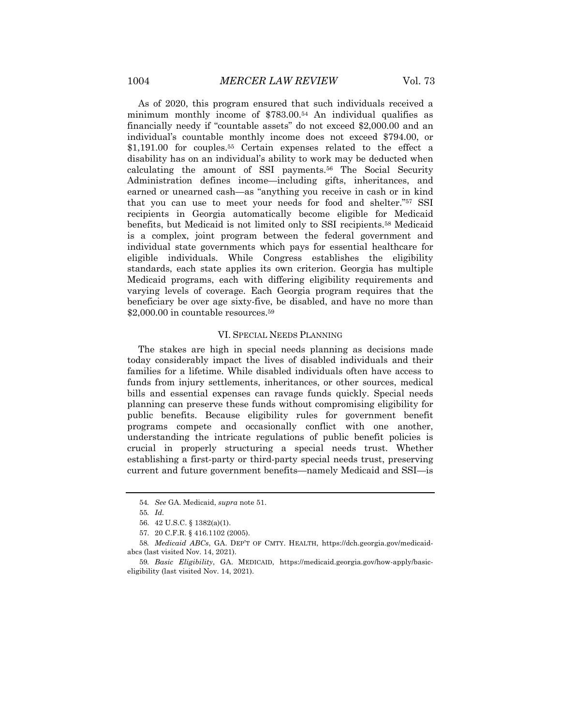As of 2020, this program ensured that such individuals received a minimum monthly income of \$783.00.54 An individual qualifies as financially needy if "countable assets" do not exceed \$2,000.00 and an individual's countable monthly income does not exceed \$794.00, or \$1,191.00 for couples.<sup>55</sup> Certain expenses related to the effect a disability has on an individual's ability to work may be deducted when calculating the amount of SSI payments.56 The Social Security Administration defines income—including gifts, inheritances, and earned or unearned cash—as "anything you receive in cash or in kind that you can use to meet your needs for food and shelter."57 SSI recipients in Georgia automatically become eligible for Medicaid benefits, but Medicaid is not limited only to SSI recipients.58 Medicaid is a complex, joint program between the federal government and individual state governments which pays for essential healthcare for eligible individuals. While Congress establishes the eligibility standards, each state applies its own criterion. Georgia has multiple Medicaid programs, each with differing eligibility requirements and varying levels of coverage. Each Georgia program requires that the beneficiary be over age sixty-five, be disabled, and have no more than \$2,000.00 in countable resources.<sup>59</sup>

#### VI. SPECIAL NEEDS PLANNING

The stakes are high in special needs planning as decisions made today considerably impact the lives of disabled individuals and their families for a lifetime. While disabled individuals often have access to funds from injury settlements, inheritances, or other sources, medical bills and essential expenses can ravage funds quickly. Special needs planning can preserve these funds without compromising eligibility for public benefits. Because eligibility rules for government benefit programs compete and occasionally conflict with one another, understanding the intricate regulations of public benefit policies is crucial in properly structuring a special needs trust. Whether establishing a first-party or third-party special needs trust, preserving current and future government benefits—namely Medicaid and SSI—is

<sup>54</sup>*. See* GA. Medicaid, *supra* note 51.

<sup>55</sup>*. Id.*

<sup>56.</sup> 42 U.S.C. § 1382(a)(1).

<sup>57.</sup> 20 C.F.R. § 416.1102 (2005).

<sup>58</sup>*. Medicaid ABCs*, GA. DEP'T OF CMTY. HEALTH, https://dch.georgia.gov/medicaidabcs (last visited Nov. 14, 2021).

<sup>59</sup>*. Basic Eligibility*, GA. MEDICAID, https://medicaid.georgia.gov/how-apply/basiceligibility (last visited Nov. 14, 2021).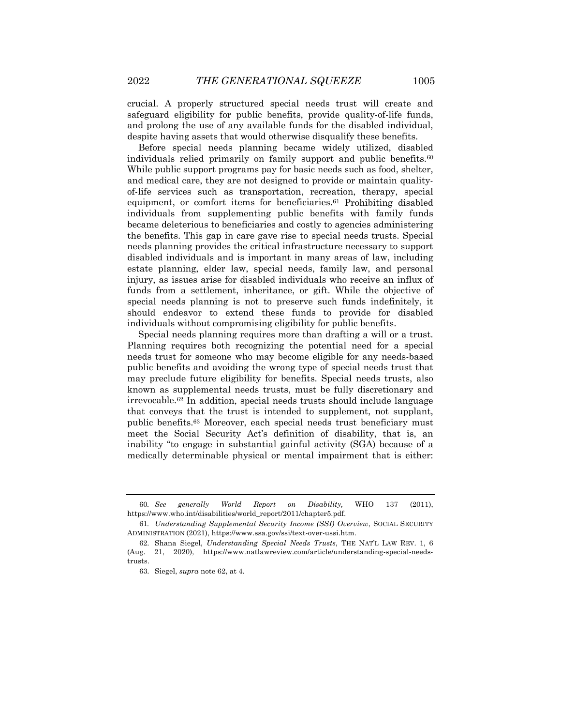crucial. A properly structured special needs trust will create and safeguard eligibility for public benefits, provide quality-of-life funds, and prolong the use of any available funds for the disabled individual, despite having assets that would otherwise disqualify these benefits.

Before special needs planning became widely utilized, disabled individuals relied primarily on family support and public benefits.<sup>60</sup> While public support programs pay for basic needs such as food, shelter, and medical care, they are not designed to provide or maintain qualityof-life services such as transportation, recreation, therapy, special equipment, or comfort items for beneficiaries.61 Prohibiting disabled individuals from supplementing public benefits with family funds became deleterious to beneficiaries and costly to agencies administering the benefits. This gap in care gave rise to special needs trusts. Special needs planning provides the critical infrastructure necessary to support disabled individuals and is important in many areas of law, including estate planning, elder law, special needs, family law, and personal injury, as issues arise for disabled individuals who receive an influx of funds from a settlement, inheritance, or gift. While the objective of special needs planning is not to preserve such funds indefinitely, it should endeavor to extend these funds to provide for disabled individuals without compromising eligibility for public benefits.

Special needs planning requires more than drafting a will or a trust. Planning requires both recognizing the potential need for a special needs trust for someone who may become eligible for any needs-based public benefits and avoiding the wrong type of special needs trust that may preclude future eligibility for benefits. Special needs trusts, also known as supplemental needs trusts, must be fully discretionary and irrevocable.62 In addition, special needs trusts should include language that conveys that the trust is intended to supplement, not supplant, public benefits.63 Moreover, each special needs trust beneficiary must meet the Social Security Act's definition of disability, that is, an inability "to engage in substantial gainful activity (SGA) because of a medically determinable physical or mental impairment that is either:

<sup>60</sup>*. See generally World Report on Disability,* WHO 137 (2011), https://www.who.int/disabilities/world\_report/2011/chapter5.pdf.

<sup>61</sup>*. Understanding Supplemental Security Income (SSI) Overview*, SOCIAL SECURITY ADMINISTRATION (2021), https://www.ssa.gov/ssi/text-over-ussi.htm.

<sup>62.</sup> Shana Siegel, *Understanding Special Needs Trusts*, THE NAT'L LAW REV. 1, 6 (Aug. 21, 2020), https://www.natlawreview.com/article/understanding-special-needstrusts.

<sup>63.</sup> Siegel, *supra* note 62, at 4.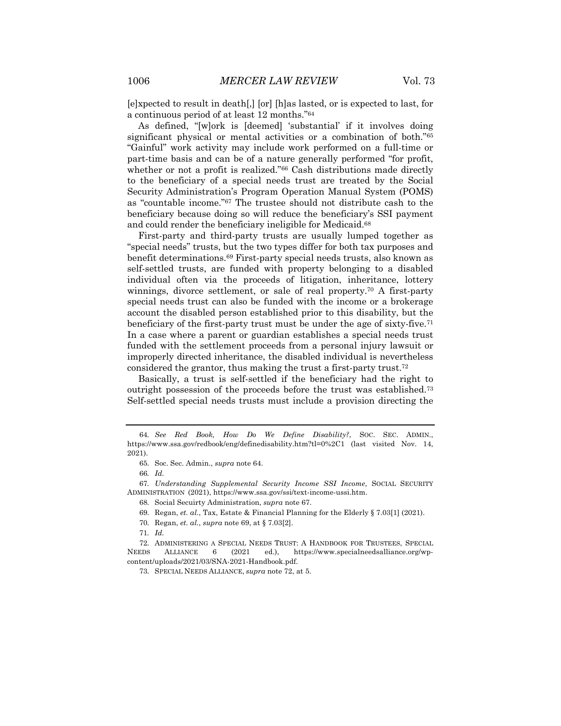[e]xpected to result in death[,] [or] [h]as lasted, or is expected to last, for a continuous period of at least 12 months."64

As defined, "[w]ork is [deemed] 'substantial' if it involves doing significant physical or mental activities or a combination of both."65 "Gainful" work activity may include work performed on a full-time or part-time basis and can be of a nature generally performed "for profit, whether or not a profit is realized."66 Cash distributions made directly to the beneficiary of a special needs trust are treated by the Social Security Administration's Program Operation Manual System (POMS) as "countable income."67 The trustee should not distribute cash to the beneficiary because doing so will reduce the beneficiary's SSI payment and could render the beneficiary ineligible for Medicaid.68

First-party and third-party trusts are usually lumped together as "special needs" trusts, but the two types differ for both tax purposes and benefit determinations.69 First-party special needs trusts, also known as self-settled trusts, are funded with property belonging to a disabled individual often via the proceeds of litigation, inheritance, lottery winnings, divorce settlement, or sale of real property.<sup>70</sup> A first-party special needs trust can also be funded with the income or a brokerage account the disabled person established prior to this disability, but the beneficiary of the first-party trust must be under the age of sixty-five.71 In a case where a parent or guardian establishes a special needs trust funded with the settlement proceeds from a personal injury lawsuit or improperly directed inheritance, the disabled individual is nevertheless considered the grantor, thus making the trust a first-party trust.72

Basically, a trust is self-settled if the beneficiary had the right to outright possession of the proceeds before the trust was established.73 Self-settled special needs trusts must include a provision directing the

67*. Understanding Supplemental Security Income SSI Income*, SOCIAL SECURITY ADMINISTRATION (2021), https://www.ssa.gov/ssi/text-income-ussi.htm.

68. Social Secuirty Administration, *supra* note 67.

69. Regan, *et. al.*, Tax, Estate & Financial Planning for the Elderly § 7.03[1] (2021).

70. Regan, *et. al.*, *supra* note 69, at § 7.03[2].

71*. Id.*

72. ADMINISTERING A SPECIAL NEEDS TRUST: A HANDBOOK FOR TRUSTEES, SPECIAL NEEDS ALLIANCE 6 (2021 ed.), https://www.specialneedsalliance.org/wpcontent/uploads/2021/03/SNA-2021-Handbook.pdf.

73. SPECIAL NEEDS ALLIANCE, *supra* note 72, at 5.

<sup>64</sup>*. See Red Book, How Do We Define Disability?*, SOC. SEC. ADMIN., https://www.ssa.gov/redbook/eng/definedisability.htm?tl=0%2C1 (last visited Nov. 14, 2021).

<sup>65.</sup> Soc. Sec. Admin., *supra* note 64.

<sup>66</sup>*. Id.*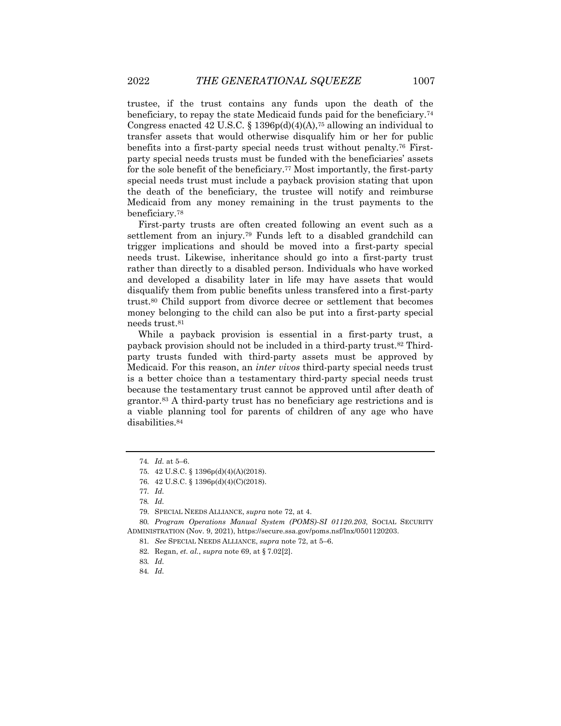trustee, if the trust contains any funds upon the death of the beneficiary, to repay the state Medicaid funds paid for the beneficiary.74 Congress enacted 42 U.S.C. § 1396 $p(d)(4)(A)$ ,<sup>75</sup> allowing an individual to transfer assets that would otherwise disqualify him or her for public benefits into a first-party special needs trust without penalty.76 Firstparty special needs trusts must be funded with the beneficiaries' assets for the sole benefit of the beneficiary.77 Most importantly, the first-party special needs trust must include a payback provision stating that upon the death of the beneficiary, the trustee will notify and reimburse Medicaid from any money remaining in the trust payments to the beneficiary.78

First-party trusts are often created following an event such as a settlement from an injury.79 Funds left to a disabled grandchild can trigger implications and should be moved into a first-party special needs trust. Likewise, inheritance should go into a first-party trust rather than directly to a disabled person. Individuals who have worked and developed a disability later in life may have assets that would disqualify them from public benefits unless transfered into a first-party trust.80 Child support from divorce decree or settlement that becomes money belonging to the child can also be put into a first-party special needs trust.81

While a payback provision is essential in a first-party trust, a payback provision should not be included in a third-party trust.82 Thirdparty trusts funded with third-party assets must be approved by Medicaid. For this reason, an *inter vivos* third-party special needs trust is a better choice than a testamentary third-party special needs trust because the testamentary trust cannot be approved until after death of grantor.83 A third-party trust has no beneficiary age restrictions and is a viable planning tool for parents of children of any age who have disabilities.84

84*. Id.*

<sup>74</sup>*. Id.* at 5–6.

<sup>75.</sup> 42 U.S.C. § 1396p(d)(4)(A)(2018).

<sup>76.</sup> 42 U.S.C. § 1396p(d)(4)(C)(2018).

<sup>77</sup>*. Id.*

<sup>78</sup>*. Id.*

<sup>79.</sup> SPECIAL NEEDS ALLIANCE, *supra* note 72, at 4.

<sup>80</sup>*. Program Operations Manual System (POMS)-SI 01120.203*, SOCIAL SECURITY ADMINISTRATION (Nov. 9, 2021), https://secure.ssa.gov/poms.nsf/lnx/0501120203.

<sup>81</sup>*. See* SPECIAL NEEDS ALLIANCE, *supra* note 72, at 5–6.

<sup>82.</sup> Regan, *et. al.*, *supra* note 69, at § 7.02[2].

<sup>83</sup>*. Id.*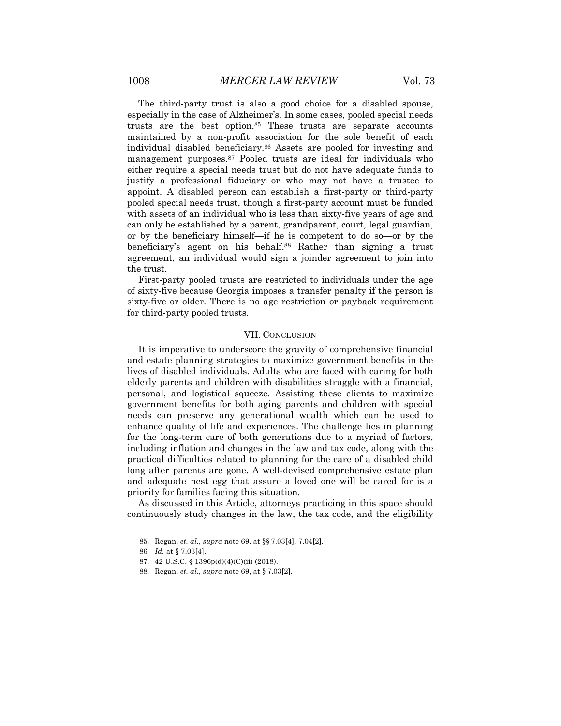The third-party trust is also a good choice for a disabled spouse, especially in the case of Alzheimer's. In some cases, pooled special needs trusts are the best option.85 These trusts are separate accounts maintained by a non-profit association for the sole benefit of each individual disabled beneficiary.86 Assets are pooled for investing and management purposes.87 Pooled trusts are ideal for individuals who either require a special needs trust but do not have adequate funds to justify a professional fiduciary or who may not have a trustee to appoint. A disabled person can establish a first-party or third-party pooled special needs trust, though a first-party account must be funded with assets of an individual who is less than sixty-five years of age and can only be established by a parent, grandparent, court, legal guardian, or by the beneficiary himself—if he is competent to do so—or by the beneficiary's agent on his behalf.88 Rather than signing a trust agreement, an individual would sign a joinder agreement to join into the trust.

First-party pooled trusts are restricted to individuals under the age of sixty-five because Georgia imposes a transfer penalty if the person is sixty-five or older. There is no age restriction or payback requirement for third-party pooled trusts.

#### VII. CONCLUSION

It is imperative to underscore the gravity of comprehensive financial and estate planning strategies to maximize government benefits in the lives of disabled individuals. Adults who are faced with caring for both elderly parents and children with disabilities struggle with a financial, personal, and logistical squeeze. Assisting these clients to maximize government benefits for both aging parents and children with special needs can preserve any generational wealth which can be used to enhance quality of life and experiences. The challenge lies in planning for the long-term care of both generations due to a myriad of factors, including inflation and changes in the law and tax code, along with the practical difficulties related to planning for the care of a disabled child long after parents are gone. A well-devised comprehensive estate plan and adequate nest egg that assure a loved one will be cared for is a priority for families facing this situation.

As discussed in this Article, attorneys practicing in this space should continuously study changes in the law, the tax code, and the eligibility

<sup>85.</sup> Regan, *et. al.*, *supra* note 69, at §§ 7.03[4], 7.04[2].

<sup>86</sup>*. Id.* at § 7.03[4].

<sup>87.</sup> 42 U.S.C. § 1396p(d)(4)(C)(ii) (2018).

<sup>88.</sup> Regan, *et. al.*, *supra* note 69, at § 7.03[2].